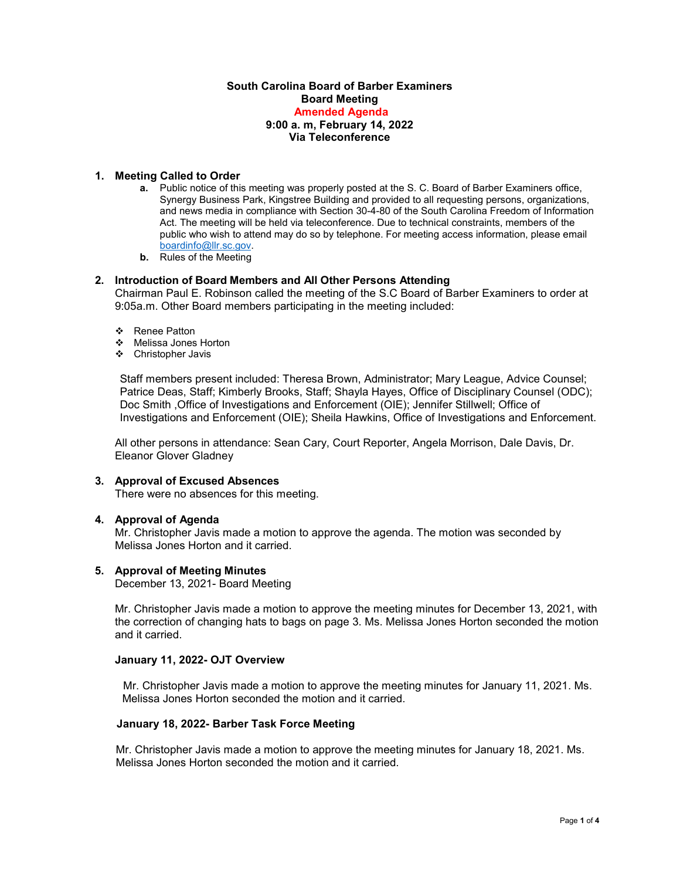# **South Carolina Board of Barber Examiners Board Meeting Amended Agenda 9:00 a. m, February 14, 2022 Via Teleconference**

# **1. Meeting Called to Order**

- **a.** Public notice of this meeting was properly posted at the S. C. Board of Barber Examiners office, Synergy Business Park, Kingstree Building and provided to all requesting persons, organizations, and news media in compliance with Section 30-4-80 of the South Carolina Freedom of Information Act. The meeting will be held via teleconference. Due to technical constraints, members of the public who wish to attend may do so by telephone. For meeting access information, please email [boardinfo@llr.sc.gov.](mailto:boardinfo@llr.sc.gov)
- **b.** Rules of the Meeting

# **2. Introduction of Board Members and All Other Persons Attending**

Chairman Paul E. Robinson called the meeting of the S.C Board of Barber Examiners to order at 9:05a.m. Other Board members participating in the meeting included:

- ❖ Renee Patton
- Melissa Jones Horton
- Christopher Javis

Staff members present included: Theresa Brown, Administrator; Mary League, Advice Counsel; Patrice Deas, Staff; Kimberly Brooks, Staff; Shayla Hayes, Office of Disciplinary Counsel (ODC); Doc Smith ,Office of Investigations and Enforcement (OIE); Jennifer Stillwell; Office of Investigations and Enforcement (OIE); Sheila Hawkins, Office of Investigations and Enforcement.

All other persons in attendance: Sean Cary, Court Reporter, Angela Morrison, Dale Davis, Dr. Eleanor Glover Gladney

#### **3. Approval of Excused Absences**

There were no absences for this meeting.

# **4. Approval of Agenda**

Mr. Christopher Javis made a motion to approve the agenda. The motion was seconded by Melissa Jones Horton and it carried.

#### **5. Approval of Meeting Minutes**

December 13, 2021- Board Meeting

Mr. Christopher Javis made a motion to approve the meeting minutes for December 13, 2021, with the correction of changing hats to bags on page 3. Ms. Melissa Jones Horton seconded the motion and it carried.

### **January 11, 2022- OJT Overview**

 Mr. Christopher Javis made a motion to approve the meeting minutes for January 11, 2021. Ms. Melissa Jones Horton seconded the motion and it carried.

#### **January 18, 2022- Barber Task Force Meeting**

Mr. Christopher Javis made a motion to approve the meeting minutes for January 18, 2021. Ms. Melissa Jones Horton seconded the motion and it carried.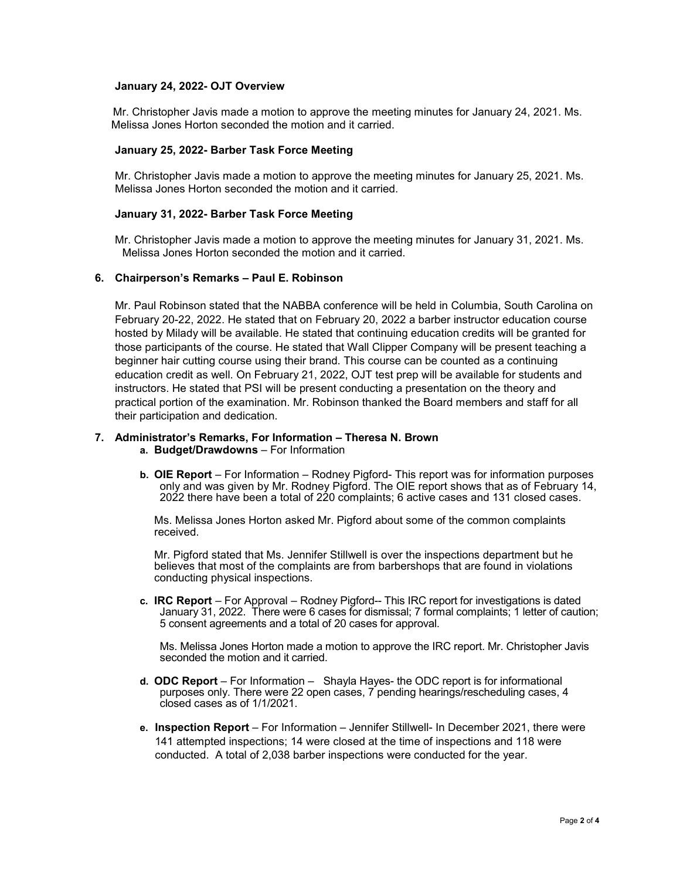# **January 24, 2022- OJT Overview**

 Mr. Christopher Javis made a motion to approve the meeting minutes for January 24, 2021. Ms. Melissa Jones Horton seconded the motion and it carried.

# **January 25, 2022- Barber Task Force Meeting**

Mr. Christopher Javis made a motion to approve the meeting minutes for January 25, 2021. Ms. Melissa Jones Horton seconded the motion and it carried.

# **January 31, 2022- Barber Task Force Meeting**

Mr. Christopher Javis made a motion to approve the meeting minutes for January 31, 2021. Ms. Melissa Jones Horton seconded the motion and it carried.

# **6. Chairperson's Remarks – Paul E. Robinson**

Mr. Paul Robinson stated that the NABBA conference will be held in Columbia, South Carolina on February 20-22, 2022. He stated that on February 20, 2022 a barber instructor education course hosted by Milady will be available. He stated that continuing education credits will be granted for those participants of the course. He stated that Wall Clipper Company will be present teaching a beginner hair cutting course using their brand. This course can be counted as a continuing education credit as well. On February 21, 2022, OJT test prep will be available for students and instructors. He stated that PSI will be present conducting a presentation on the theory and practical portion of the examination. Mr. Robinson thanked the Board members and staff for all their participation and dedication.

# **7. Administrator's Remarks, For Information – Theresa N. Brown**

**a. Budget/Drawdowns** – For Information

**b. OIE Report** – For Information – Rodney Pigford- This report was for information purposes only and was given by Mr. Rodney Pigford. The OIE report shows that as of February 14, 2022 there have been a total of 220 complaints; 6 active cases and 131 closed cases.

Ms. Melissa Jones Horton asked Mr. Pigford about some of the common complaints received.

Mr. Pigford stated that Ms. Jennifer Stillwell is over the inspections department but he believes that most of the complaints are from barbershops that are found in violations conducting physical inspections.

**c. IRC Report** – For Approval – Rodney Pigford-- This IRC report for investigations is dated January 31, 2022. There were 6 cases for dismissal; 7 formal complaints; 1 letter of caution; 5 consent agreements and a total of 20 cases for approval.

Ms. Melissa Jones Horton made a motion to approve the IRC report. Mr. Christopher Javis seconded the motion and it carried.

- **d. ODC Report**  For Information Shayla Hayes- the ODC report is for informational purposes only. There were 22 open cases, 7 pending hearings/rescheduling cases, 4 closed cases as of 1/1/2021.
- **e. Inspection Report** For Information Jennifer Stillwell- In December 2021, there were 141 attempted inspections; 14 were closed at the time of inspections and 118 were conducted. A total of 2,038 barber inspections were conducted for the year.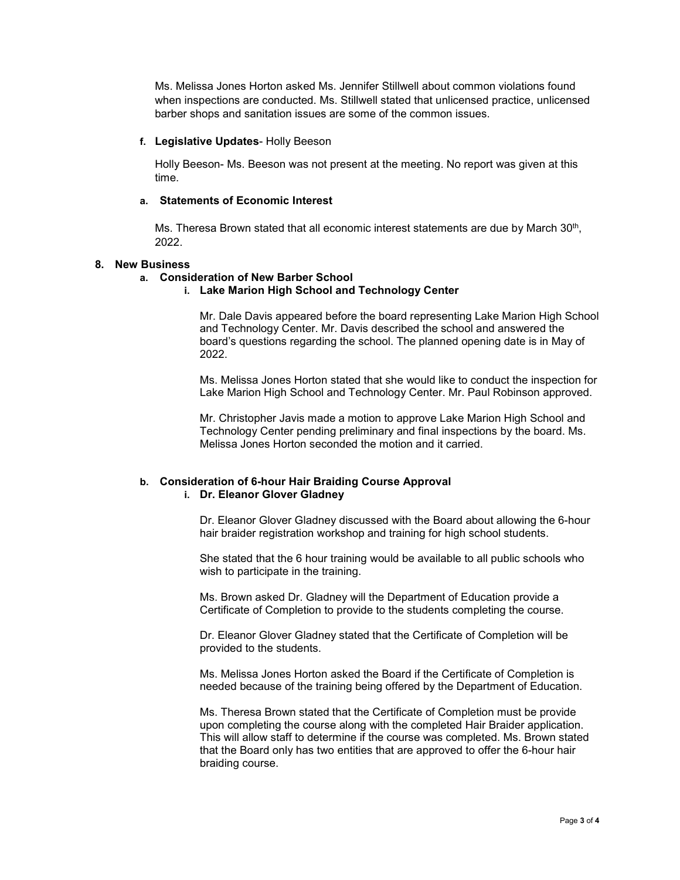Ms. Melissa Jones Horton asked Ms. Jennifer Stillwell about common violations found when inspections are conducted. Ms. Stillwell stated that unlicensed practice, unlicensed barber shops and sanitation issues are some of the common issues.

### **f. Legislative Updates**- Holly Beeson

Holly Beeson- Ms. Beeson was not present at the meeting. No report was given at this time.

# **a. Statements of Economic Interest**

Ms. Theresa Brown stated that all economic interest statements are due by March  $30<sup>th</sup>$ , 2022.

#### **8. New Business**

# **a. Consideration of New Barber School**

**i. Lake Marion High School and Technology Center**

Mr. Dale Davis appeared before the board representing Lake Marion High School and Technology Center. Mr. Davis described the school and answered the board's questions regarding the school. The planned opening date is in May of 2022.

Ms. Melissa Jones Horton stated that she would like to conduct the inspection for Lake Marion High School and Technology Center. Mr. Paul Robinson approved.

Mr. Christopher Javis made a motion to approve Lake Marion High School and Technology Center pending preliminary and final inspections by the board. Ms. Melissa Jones Horton seconded the motion and it carried.

# **b. Consideration of 6-hour Hair Braiding Course Approval i. Dr. Eleanor Glover Gladney**

Dr. Eleanor Glover Gladney discussed with the Board about allowing the 6-hour hair braider registration workshop and training for high school students.

She stated that the 6 hour training would be available to all public schools who wish to participate in the training.

Ms. Brown asked Dr. Gladney will the Department of Education provide a Certificate of Completion to provide to the students completing the course.

Dr. Eleanor Glover Gladney stated that the Certificate of Completion will be provided to the students.

Ms. Melissa Jones Horton asked the Board if the Certificate of Completion is needed because of the training being offered by the Department of Education.

Ms. Theresa Brown stated that the Certificate of Completion must be provide upon completing the course along with the completed Hair Braider application. This will allow staff to determine if the course was completed. Ms. Brown stated that the Board only has two entities that are approved to offer the 6-hour hair braiding course.